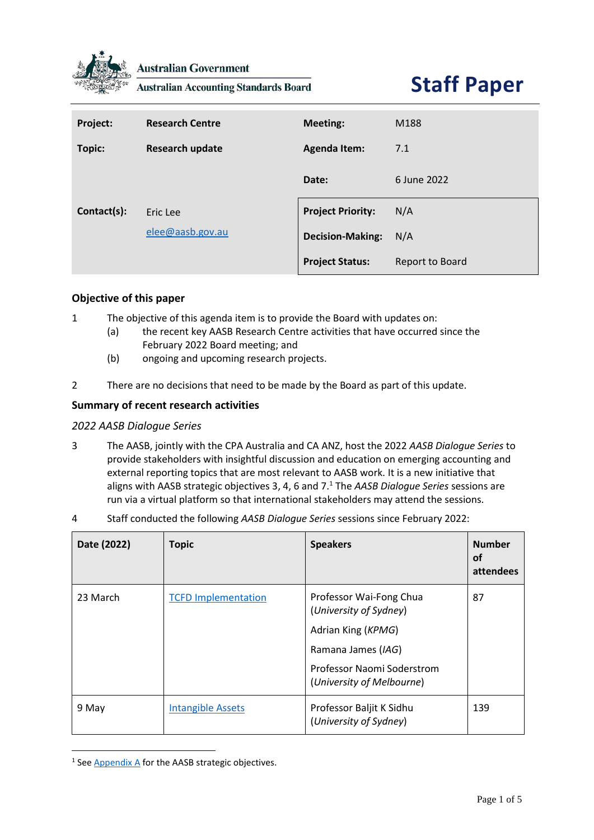

**Australian Government** 

**Australian Accounting Standards Board** 

# **Staff Paper**

| Project:    | <b>Research Centre</b> | <b>Meeting:</b>          | M188            |
|-------------|------------------------|--------------------------|-----------------|
| Topic:      | <b>Research update</b> | <b>Agenda Item:</b>      | 7.1             |
|             |                        | Date:                    | 6 June 2022     |
| Contact(s): | Eric Lee               | <b>Project Priority:</b> | N/A             |
|             | elee@aasb.gov.au       | <b>Decision-Making:</b>  | N/A             |
|             |                        | <b>Project Status:</b>   | Report to Board |

# **Objective of this paper**

- 1 The objective of this agenda item is to provide the Board with updates on:
	- (a) the recent key AASB Research Centre activities that have occurred since the February 2022 Board meeting; and
	- (b) ongoing and upcoming research projects.
- 2 There are no decisions that need to be made by the Board as part of this update.

### **Summary of recent research activities**

#### *2022 AASB Dialogue Series*

- 3 The AASB, jointly with the CPA Australia and CA ANZ, host the 2022 *AASB Dialogue Series* to provide stakeholders with insightful discussion and education on emerging accounting and external reporting topics that are most relevant to AASB work. It is a new initiative that aligns with AASB strategic objectives 3, 4, 6 and 7.<sup>1</sup> The *AASB Dialogue Series* sessions are run via a virtual platform so that international stakeholders may attend the sessions.
- 4 Staff conducted the following *AASB Dialogue Series* sessions since February 2022:

| Date (2022) | <b>Topic</b>               | <b>Speakers</b>                                                                                                                                          | <b>Number</b><br>οf<br>attendees |
|-------------|----------------------------|----------------------------------------------------------------------------------------------------------------------------------------------------------|----------------------------------|
| 23 March    | <b>TCFD Implementation</b> | Professor Wai-Fong Chua<br>(University of Sydney)<br>Adrian King (KPMG)<br>Ramana James (IAG)<br>Professor Naomi Soderstrom<br>(University of Melbourne) | 87                               |
| 9 May       | <b>Intangible Assets</b>   | Professor Baljit K Sidhu<br>(University of Sydney)                                                                                                       | 139                              |

<sup>&</sup>lt;sup>1</sup> See **Appendix A** for the AASB strategic objectives.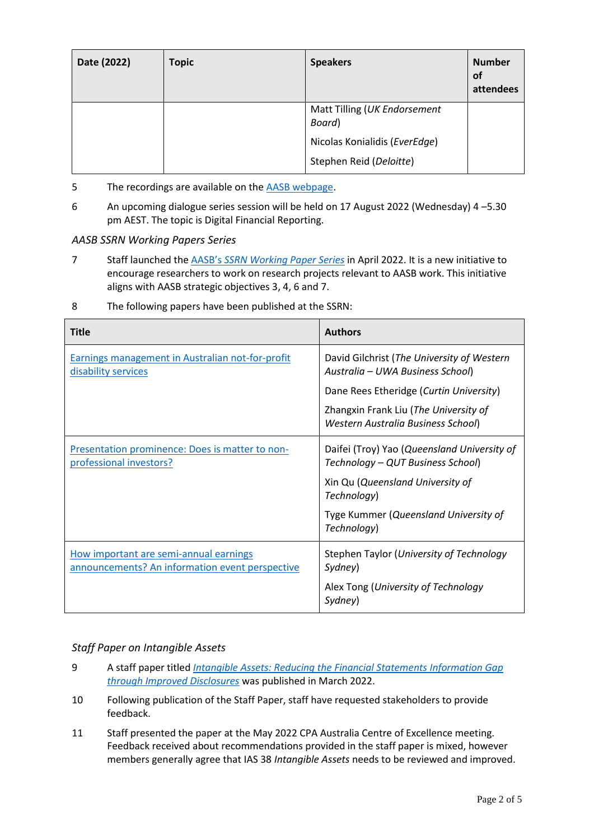| Date (2022) | <b>Topic</b> | <b>Speakers</b>                        | <b>Number</b><br><b>of</b><br>attendees |
|-------------|--------------|----------------------------------------|-----------------------------------------|
|             |              | Matt Tilling (UK Endorsement<br>Board) |                                         |
|             |              | Nicolas Konialidis (EverEdge)          |                                         |
|             |              | Stephen Reid (Deloitte)                |                                         |

- 5 The recordings are available on the [AASB webpage.](https://www.aasb.gov.au/research-resources/aasb-dialogue-series/)
- 6 An upcoming dialogue series session will be held on 17 August 2022 (Wednesday) 4 –5.30 pm AEST. The topic is Digital Financial Reporting.

#### *AASB SSRN Working Papers Series*

7 Staff launched the [AASB's](https://aasb.gov.au/research-resources/publications/aasb-working-papers-series/) *SSRN Working Paper Series* in April 2022. It is a new initiative to encourage researchers to work on research projects relevant to AASB work. This initiative aligns with AASB strategic objectives 3, 4, 6 and 7.

| <b>Title</b>                                                                              | <b>Authors</b>                                                                     |
|-------------------------------------------------------------------------------------------|------------------------------------------------------------------------------------|
| Earnings management in Australian not-for-profit<br>disability services                   | David Gilchrist (The University of Western<br>Australia - UWA Business School)     |
|                                                                                           | Dane Rees Etheridge (Curtin University)                                            |
|                                                                                           | Zhangxin Frank Liu (The University of<br><b>Western Australia Business School)</b> |
| Presentation prominence: Does is matter to non-<br>professional investors?                | Daifei (Troy) Yao (Queensland University of<br>Technology - QUT Business School)   |
|                                                                                           | Xin Qu (Queensland University of<br>Technology)                                    |
|                                                                                           | Tyge Kummer (Queensland University of<br>Technology)                               |
| How important are semi-annual earnings<br>announcements? An information event perspective | Stephen Taylor (University of Technology<br>Sydney)                                |
|                                                                                           | Alex Tong (University of Technology<br>Sydney)                                     |

8 The following papers have been published at the SSRN:

### *Staff Paper on Intangible Assets*

- 9 A staff paper titled *[Intangible Assets: Reducing the Financial Statements Information Gap](https://www.aasb.gov.au/media/ykep1cvb/sp_intangibleassets_03-22.pdf)  [through Improved Disclosures](https://www.aasb.gov.au/media/ykep1cvb/sp_intangibleassets_03-22.pdf)* was published in March 2022.
- 10 Following publication of the Staff Paper, staff have requested stakeholders to provide feedback.
- 11 Staff presented the paper at the May 2022 CPA Australia Centre of Excellence meeting. Feedback received about recommendations provided in the staff paper is mixed, however members generally agree that IAS 38 *Intangible Assets* needs to be reviewed and improved.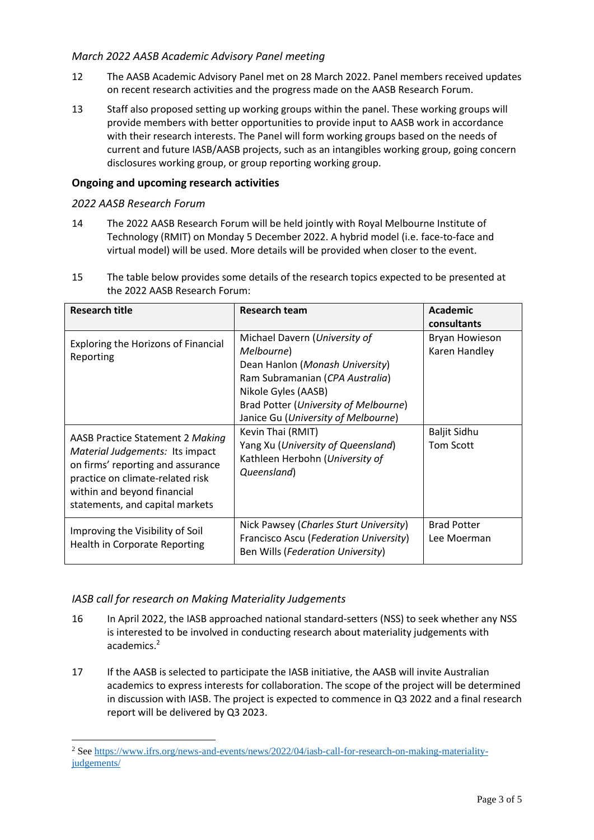## *March 2022 AASB Academic Advisory Panel meeting*

- 12 The AASB Academic Advisory Panel met on 28 March 2022. Panel members received updates on recent research activities and the progress made on the AASB Research Forum.
- 13 Staff also proposed setting up working groups within the panel. These working groups will provide members with better opportunities to provide input to AASB work in accordance with their research interests. The Panel will form working groups based on the needs of current and future IASB/AASB projects, such as an intangibles working group, going concern disclosures working group, or group reporting working group.

## **Ongoing and upcoming research activities**

### *2022 AASB Research Forum*

- 14 The 2022 AASB Research Forum will be held jointly with Royal Melbourne Institute of Technology (RMIT) on Monday 5 December 2022. A hybrid model (i.e. face-to-face and virtual model) will be used. More details will be provided when closer to the event.
- 15 The table below provides some details of the research topics expected to be presented at the 2022 AASB Research Forum:

| <b>Research title</b>                                                                                                                                                                                                 | <b>Research team</b>                                                                                                                                                                                     | Academic<br>consultants                                       |
|-----------------------------------------------------------------------------------------------------------------------------------------------------------------------------------------------------------------------|----------------------------------------------------------------------------------------------------------------------------------------------------------------------------------------------------------|---------------------------------------------------------------|
| <b>Exploring the Horizons of Financial</b><br>Melbourne)<br>Reporting<br>Nikole Gyles (AASB)                                                                                                                          | Michael Davern (University of<br>Dean Hanlon (Monash University)<br>Ram Subramanian (CPA Australia)<br>Brad Potter (University of Melbourne)<br>Janice Gu (University of Melbourne)<br>Kevin Thai (RMIT) | <b>Bryan Howieson</b><br>Karen Handley<br><b>Baljit Sidhu</b> |
| <b>AASB Practice Statement 2 Making</b><br>Material Judgements: Its impact<br>on firms' reporting and assurance<br>practice on climate-related risk<br>within and beyond financial<br>statements, and capital markets | Yang Xu (University of Queensland)<br>Kathleen Herbohn (University of<br>Queensland)                                                                                                                     | <b>Tom Scott</b>                                              |
| Improving the Visibility of Soil<br>Health in Corporate Reporting                                                                                                                                                     | Nick Pawsey (Charles Sturt University)<br>Francisco Ascu (Federation University)<br>Ben Wills (Federation University)                                                                                    | <b>Brad Potter</b><br>Lee Moerman                             |

### *IASB call for research on Making Materiality Judgements*

- 16 In April 2022, the IASB approached national standard-setters (NSS) to seek whether any NSS is interested to be involved in conducting research about materiality judgements with academics.<sup>2</sup>
- 17 If the AASB is selected to participate the IASB initiative, the AASB will invite Australian academics to express interests for collaboration. The scope of the project will be determined in discussion with IASB. The project is expected to commence in Q3 2022 and a final research report will be delivered by Q3 2023.

<sup>&</sup>lt;sup>2</sup> Se[e https://www.ifrs.org/news-and-events/news/2022/04/iasb-call-for-research-on-making-materiality](https://www.ifrs.org/news-and-events/news/2022/04/iasb-call-for-research-on-making-materiality-judgements/)[judgements/](https://www.ifrs.org/news-and-events/news/2022/04/iasb-call-for-research-on-making-materiality-judgements/)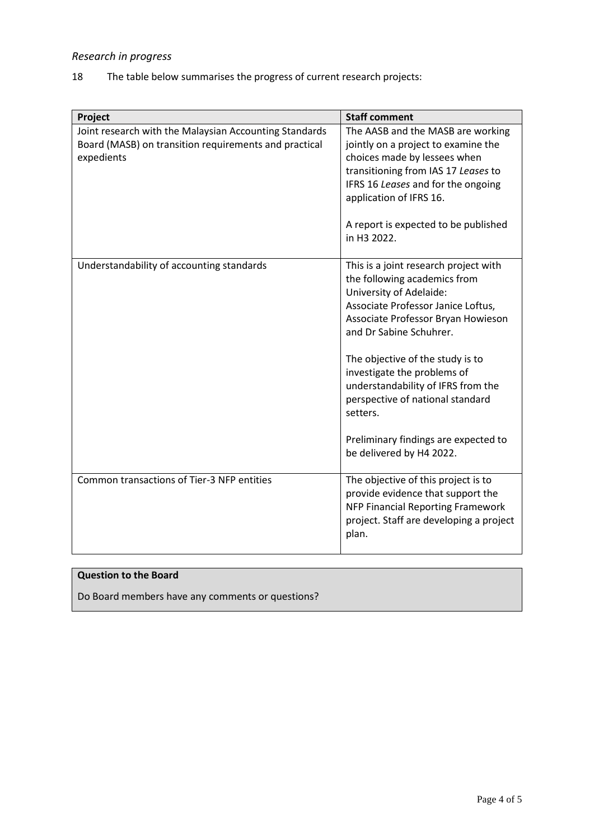# *Research in progress*

18 The table below summarises the progress of current research projects:

| Project                                                                                                                       | <b>Staff comment</b>                                                                                                                                                                                                                                                                                                                                                                                                                 |
|-------------------------------------------------------------------------------------------------------------------------------|--------------------------------------------------------------------------------------------------------------------------------------------------------------------------------------------------------------------------------------------------------------------------------------------------------------------------------------------------------------------------------------------------------------------------------------|
| Joint research with the Malaysian Accounting Standards<br>Board (MASB) on transition requirements and practical<br>expedients | The AASB and the MASB are working<br>jointly on a project to examine the<br>choices made by lessees when<br>transitioning from IAS 17 Leases to<br>IFRS 16 Leases and for the ongoing<br>application of IFRS 16.<br>A report is expected to be published<br>in H3 2022.                                                                                                                                                              |
| Understandability of accounting standards                                                                                     | This is a joint research project with<br>the following academics from<br>University of Adelaide:<br>Associate Professor Janice Loftus,<br>Associate Professor Bryan Howieson<br>and Dr Sabine Schuhrer.<br>The objective of the study is to<br>investigate the problems of<br>understandability of IFRS from the<br>perspective of national standard<br>setters.<br>Preliminary findings are expected to<br>be delivered by H4 2022. |
| Common transactions of Tier-3 NFP entities                                                                                    | The objective of this project is to<br>provide evidence that support the<br>NFP Financial Reporting Framework<br>project. Staff are developing a project<br>plan.                                                                                                                                                                                                                                                                    |

#### **Question to the Board**

Do Board members have any comments or questions?